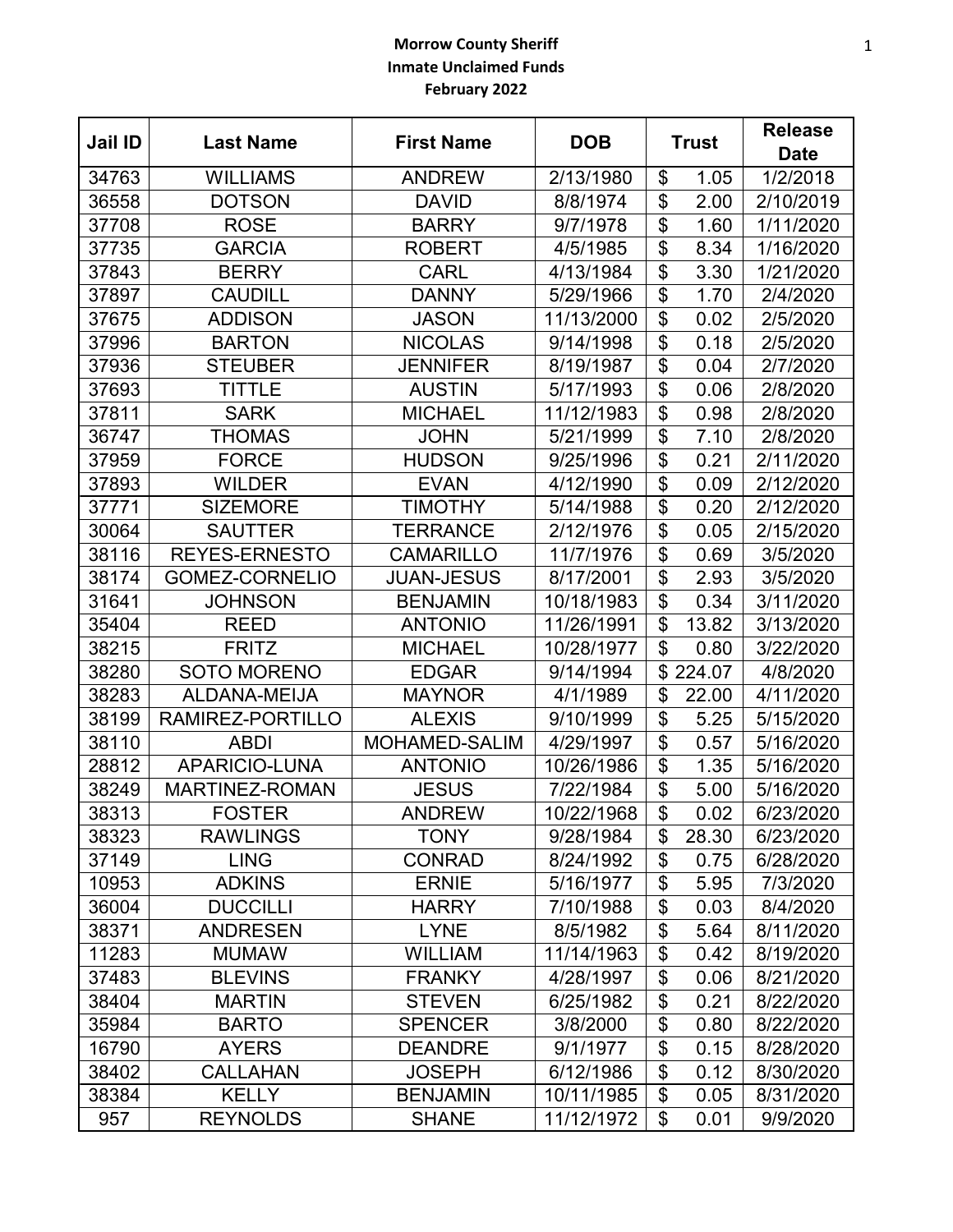## **Morrow County Sheriff Inmate Unclaimed Funds February 2022**

| Jail ID | <b>Last Name</b>      | <b>First Name</b>    | <b>DOB</b> | <b>Trust</b>    |        | <b>Release</b><br><b>Date</b> |
|---------|-----------------------|----------------------|------------|-----------------|--------|-------------------------------|
| 34763   | <b>WILLIAMS</b>       | <b>ANDREW</b>        | 2/13/1980  | \$              | 1.05   | 1/2/2018                      |
| 36558   | <b>DOTSON</b>         | <b>DAVID</b>         | 8/8/1974   | \$              | 2.00   | 2/10/2019                     |
| 37708   | <b>ROSE</b>           | <b>BARRY</b>         | 9/7/1978   | \$              | 1.60   | 1/11/2020                     |
| 37735   | <b>GARCIA</b>         | <b>ROBERT</b>        | 4/5/1985   | \$              | 8.34   | 1/16/2020                     |
| 37843   | <b>BERRY</b>          | <b>CARL</b>          | 4/13/1984  | \$              | 3.30   | 1/21/2020                     |
| 37897   | <b>CAUDILL</b>        | <b>DANNY</b>         | 5/29/1966  | $\overline{\$}$ | 1.70   | 2/4/2020                      |
| 37675   | <b>ADDISON</b>        | <b>JASON</b>         | 11/13/2000 | \$              | 0.02   | 2/5/2020                      |
| 37996   | <b>BARTON</b>         | <b>NICOLAS</b>       | 9/14/1998  | \$              | 0.18   | 2/5/2020                      |
| 37936   | <b>STEUBER</b>        | <b>JENNIFER</b>      | 8/19/1987  | \$              | 0.04   | 2/7/2020                      |
| 37693   | TITTLE                | <b>AUSTIN</b>        | 5/17/1993  | \$              | 0.06   | 2/8/2020                      |
| 37811   | <b>SARK</b>           | <b>MICHAEL</b>       | 11/12/1983 | \$              | 0.98   | 2/8/2020                      |
| 36747   | <b>THOMAS</b>         | <b>JOHN</b>          | 5/21/1999  | \$              | 7.10   | 2/8/2020                      |
| 37959   | <b>FORCE</b>          | <b>HUDSON</b>        | 9/25/1996  | \$              | 0.21   | 2/11/2020                     |
| 37893   | <b>WILDER</b>         | <b>EVAN</b>          | 4/12/1990  | \$              | 0.09   | 2/12/2020                     |
| 37771   | <b>SIZEMORE</b>       | <b>TIMOTHY</b>       | 5/14/1988  | \$              | 0.20   | 2/12/2020                     |
| 30064   | <b>SAUTTER</b>        | <b>TERRANCE</b>      | 2/12/1976  | \$              | 0.05   | 2/15/2020                     |
| 38116   | <b>REYES-ERNESTO</b>  | <b>CAMARILLO</b>     | 11/7/1976  | \$              | 0.69   | 3/5/2020                      |
| 38174   | <b>GOMEZ-CORNELIO</b> | <b>JUAN-JESUS</b>    | 8/17/2001  | $\overline{\$}$ | 2.93   | 3/5/2020                      |
| 31641   | <b>JOHNSON</b>        | <b>BENJAMIN</b>      | 10/18/1983 | \$              | 0.34   | 3/11/2020                     |
| 35404   | <b>REED</b>           | <b>ANTONIO</b>       | 11/26/1991 | \$              | 13.82  | 3/13/2020                     |
| 38215   | <b>FRITZ</b>          | <b>MICHAEL</b>       | 10/28/1977 | \$              | 0.80   | 3/22/2020                     |
| 38280   | <b>SOTO MORENO</b>    | <b>EDGAR</b>         | 9/14/1994  | \$              | 224.07 | 4/8/2020                      |
| 38283   | ALDANA-MEIJA          | <b>MAYNOR</b>        | 4/1/1989   | \$              | 22.00  | 4/11/2020                     |
| 38199   | RAMIREZ-PORTILLO      | <b>ALEXIS</b>        | 9/10/1999  | \$              | 5.25   | 5/15/2020                     |
| 38110   | <b>ABDI</b>           | <b>MOHAMED-SALIM</b> | 4/29/1997  | \$              | 0.57   | 5/16/2020                     |
| 28812   | APARICIO-LUNA         | <b>ANTONIO</b>       | 10/26/1986 | \$              | 1.35   | 5/16/2020                     |
| 38249   | <b>MARTINEZ-ROMAN</b> | <b>JESUS</b>         | 7/22/1984  | \$              | 5.00   | 5/16/2020                     |
| 38313   | <b>FOSTER</b>         | <b>ANDREW</b>        | 10/22/1968 | \$              | 0.02   | 6/23/2020                     |
| 38323   | <b>RAWLINGS</b>       | <b>TONY</b>          | 9/28/1984  | \$              | 28.30  | 6/23/2020                     |
| 37149   | <b>LING</b>           | <b>CONRAD</b>        | 8/24/1992  | \$              | 0.75   | 6/28/2020                     |
| 10953   | <b>ADKINS</b>         | <b>ERNIE</b>         | 5/16/1977  | \$              | 5.95   | 7/3/2020                      |
| 36004   | <b>DUCCILLI</b>       | <b>HARRY</b>         | 7/10/1988  | \$              | 0.03   | 8/4/2020                      |
| 38371   | <b>ANDRESEN</b>       | <b>LYNE</b>          | 8/5/1982   | \$              | 5.64   | 8/11/2020                     |
| 11283   | <b>MUMAW</b>          | <b>WILLIAM</b>       | 11/14/1963 | \$              | 0.42   | 8/19/2020                     |
| 37483   | <b>BLEVINS</b>        | <b>FRANKY</b>        | 4/28/1997  | \$              | 0.06   | 8/21/2020                     |
| 38404   | <b>MARTIN</b>         | <b>STEVEN</b>        | 6/25/1982  | \$              | 0.21   | 8/22/2020                     |
| 35984   | <b>BARTO</b>          | <b>SPENCER</b>       | 3/8/2000   | \$              | 0.80   | 8/22/2020                     |
| 16790   | <b>AYERS</b>          | <b>DEANDRE</b>       | 9/1/1977   | \$              | 0.15   | 8/28/2020                     |
| 38402   | <b>CALLAHAN</b>       | <b>JOSEPH</b>        | 6/12/1986  | \$              | 0.12   | 8/30/2020                     |
| 38384   | <b>KELLY</b>          | <b>BENJAMIN</b>      | 10/11/1985 | \$              | 0.05   | 8/31/2020                     |
| 957     | <b>REYNOLDS</b>       | <b>SHANE</b>         | 11/12/1972 | \$              | 0.01   | 9/9/2020                      |